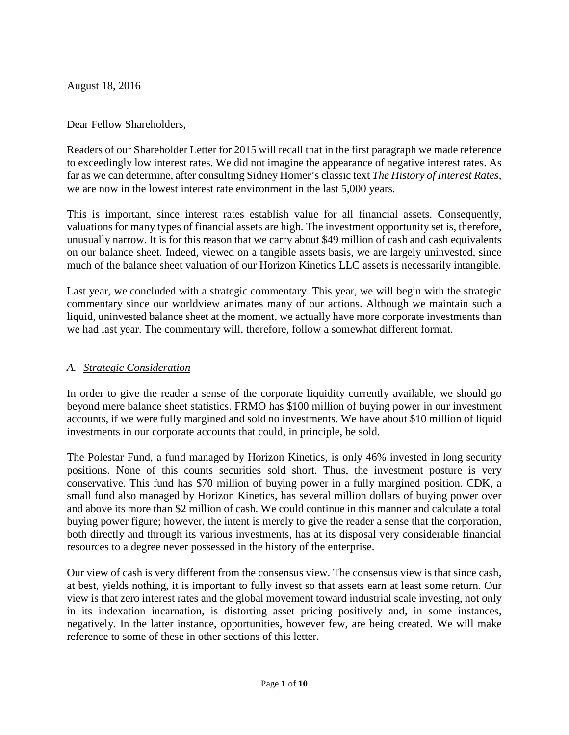August 18, 2016

### Dear Fellow Shareholders,

Readers of our Shareholder Letter for 2015 will recall that in the first paragraph we made reference to exceedingly low interest rates. We did not imagine the appearance of negative interest rates. As far as we can determine, after consulting Sidney Homer's classic text *The History of Interest Rates*, we are now in the lowest interest rate environment in the last 5,000 years.

This is important, since interest rates establish value for all financial assets. Consequently, valuations for many types of financial assets are high. The investment opportunity set is, therefore, unusually narrow. It is for this reason that we carry about \$49 million of cash and cash equivalents on our balance sheet. Indeed, viewed on a tangible assets basis, we are largely uninvested, since much of the balance sheet valuation of our Horizon Kinetics LLC assets is necessarily intangible.

Last year, we concluded with a strategic commentary. This year, we will begin with the strategic commentary since our worldview animates many of our actions. Although we maintain such a liquid, uninvested balance sheet at the moment, we actually have more corporate investments than we had last year. The commentary will, therefore, follow a somewhat different format.

### *A. Strategic Consideration*

In order to give the reader a sense of the corporate liquidity currently available, we should go beyond mere balance sheet statistics. FRMO has \$100 million of buying power in our investment accounts, if we were fully margined and sold no investments. We have about \$10 million of liquid investments in our corporate accounts that could, in principle, be sold.

The Polestar Fund, a fund managed by Horizon Kinetics, is only 46% invested in long security positions. None of this counts securities sold short. Thus, the investment posture is very conservative. This fund has \$70 million of buying power in a fully margined position. CDK, a small fund also managed by Horizon Kinetics, has several million dollars of buying power over and above its more than \$2 million of cash. We could continue in this manner and calculate a total buying power figure; however, the intent is merely to give the reader a sense that the corporation, both directly and through its various investments, has at its disposal very considerable financial resources to a degree never possessed in the history of the enterprise.

Our view of cash is very different from the consensus view. The consensus view is that since cash, at best, yields nothing, it is important to fully invest so that assets earn at least some return. Our view is that zero interest rates and the global movement toward industrial scale investing, not only in its indexation incarnation, is distorting asset pricing positively and, in some instances, negatively. In the latter instance, opportunities, however few, are being created. We will make reference to some of these in other sections of this letter.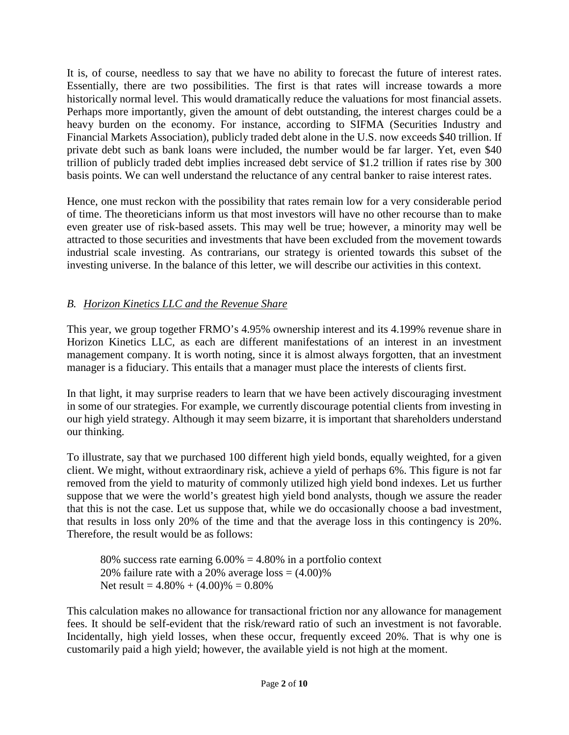It is, of course, needless to say that we have no ability to forecast the future of interest rates. Essentially, there are two possibilities. The first is that rates will increase towards a more historically normal level. This would dramatically reduce the valuations for most financial assets. Perhaps more importantly, given the amount of debt outstanding, the interest charges could be a heavy burden on the economy. For instance, according to SIFMA (Securities Industry and Financial Markets Association), publicly traded debt alone in the U.S. now exceeds \$40 trillion. If private debt such as bank loans were included, the number would be far larger. Yet, even \$40 trillion of publicly traded debt implies increased debt service of \$1.2 trillion if rates rise by 300 basis points. We can well understand the reluctance of any central banker to raise interest rates.

Hence, one must reckon with the possibility that rates remain low for a very considerable period of time. The theoreticians inform us that most investors will have no other recourse than to make even greater use of risk-based assets. This may well be true; however, a minority may well be attracted to those securities and investments that have been excluded from the movement towards industrial scale investing. As contrarians, our strategy is oriented towards this subset of the investing universe. In the balance of this letter, we will describe our activities in this context.

# *B. Horizon Kinetics LLC and the Revenue Share*

This year, we group together FRMO's 4.95% ownership interest and its 4.199% revenue share in Horizon Kinetics LLC, as each are different manifestations of an interest in an investment management company. It is worth noting, since it is almost always forgotten, that an investment manager is a fiduciary. This entails that a manager must place the interests of clients first.

In that light, it may surprise readers to learn that we have been actively discouraging investment in some of our strategies. For example, we currently discourage potential clients from investing in our high yield strategy. Although it may seem bizarre, it is important that shareholders understand our thinking.

To illustrate, say that we purchased 100 different high yield bonds, equally weighted, for a given client. We might, without extraordinary risk, achieve a yield of perhaps 6%. This figure is not far removed from the yield to maturity of commonly utilized high yield bond indexes. Let us further suppose that we were the world's greatest high yield bond analysts, though we assure the reader that this is not the case. Let us suppose that, while we do occasionally choose a bad investment, that results in loss only 20% of the time and that the average loss in this contingency is 20%. Therefore, the result would be as follows:

80% success rate earning  $6.00\% = 4.80\%$  in a portfolio context 20% failure rate with a 20% average  $loss = (4.00)\%$ Net result =  $4.80\% + (4.00)\% = 0.80\%$ 

This calculation makes no allowance for transactional friction nor any allowance for management fees. It should be self-evident that the risk/reward ratio of such an investment is not favorable. Incidentally, high yield losses, when these occur, frequently exceed 20%. That is why one is customarily paid a high yield; however, the available yield is not high at the moment.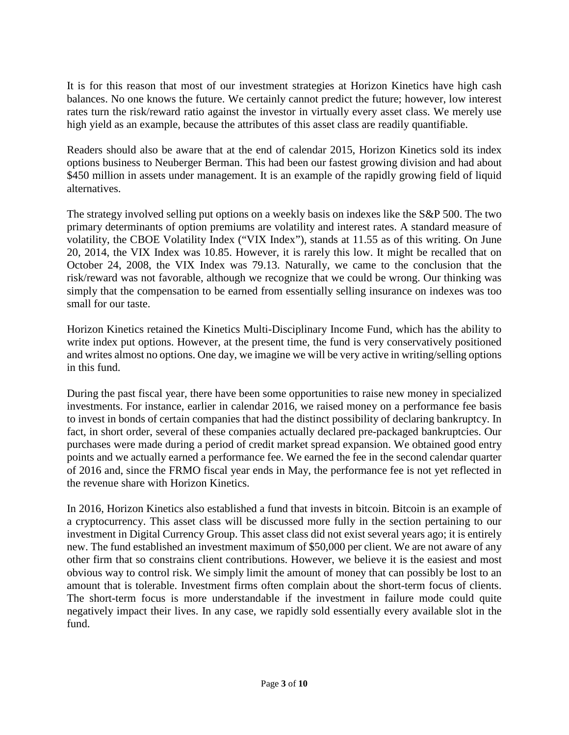It is for this reason that most of our investment strategies at Horizon Kinetics have high cash balances. No one knows the future. We certainly cannot predict the future; however, low interest rates turn the risk/reward ratio against the investor in virtually every asset class. We merely use high yield as an example, because the attributes of this asset class are readily quantifiable.

Readers should also be aware that at the end of calendar 2015, Horizon Kinetics sold its index options business to Neuberger Berman. This had been our fastest growing division and had about \$450 million in assets under management. It is an example of the rapidly growing field of liquid alternatives.

The strategy involved selling put options on a weekly basis on indexes like the S&P 500. The two primary determinants of option premiums are volatility and interest rates. A standard measure of volatility, the CBOE Volatility Index ("VIX Index"), stands at 11.55 as of this writing. On June 20, 2014, the VIX Index was 10.85. However, it is rarely this low. It might be recalled that on October 24, 2008, the VIX Index was 79.13. Naturally, we came to the conclusion that the risk/reward was not favorable, although we recognize that we could be wrong. Our thinking was simply that the compensation to be earned from essentially selling insurance on indexes was too small for our taste.

Horizon Kinetics retained the Kinetics Multi-Disciplinary Income Fund, which has the ability to write index put options. However, at the present time, the fund is very conservatively positioned and writes almost no options. One day, we imagine we will be very active in writing/selling options in this fund.

During the past fiscal year, there have been some opportunities to raise new money in specialized investments. For instance, earlier in calendar 2016, we raised money on a performance fee basis to invest in bonds of certain companies that had the distinct possibility of declaring bankruptcy. In fact, in short order, several of these companies actually declared pre-packaged bankruptcies. Our purchases were made during a period of credit market spread expansion. We obtained good entry points and we actually earned a performance fee. We earned the fee in the second calendar quarter of 2016 and, since the FRMO fiscal year ends in May, the performance fee is not yet reflected in the revenue share with Horizon Kinetics.

In 2016, Horizon Kinetics also established a fund that invests in bitcoin. Bitcoin is an example of a cryptocurrency. This asset class will be discussed more fully in the section pertaining to our investment in Digital Currency Group. This asset class did not exist several years ago; it is entirely new. The fund established an investment maximum of \$50,000 per client. We are not aware of any other firm that so constrains client contributions. However, we believe it is the easiest and most obvious way to control risk. We simply limit the amount of money that can possibly be lost to an amount that is tolerable. Investment firms often complain about the short-term focus of clients. The short-term focus is more understandable if the investment in failure mode could quite negatively impact their lives. In any case, we rapidly sold essentially every available slot in the fund.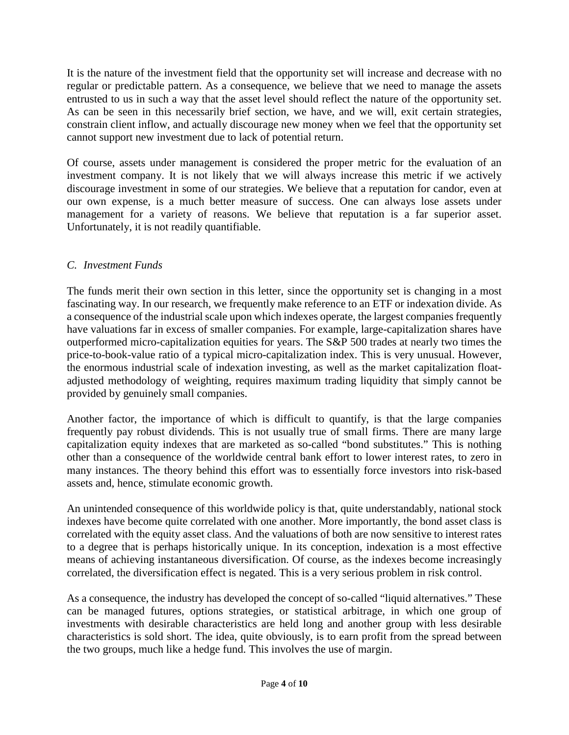It is the nature of the investment field that the opportunity set will increase and decrease with no regular or predictable pattern. As a consequence, we believe that we need to manage the assets entrusted to us in such a way that the asset level should reflect the nature of the opportunity set. As can be seen in this necessarily brief section, we have, and we will, exit certain strategies, constrain client inflow, and actually discourage new money when we feel that the opportunity set cannot support new investment due to lack of potential return.

Of course, assets under management is considered the proper metric for the evaluation of an investment company. It is not likely that we will always increase this metric if we actively discourage investment in some of our strategies. We believe that a reputation for candor, even at our own expense, is a much better measure of success. One can always lose assets under management for a variety of reasons. We believe that reputation is a far superior asset. Unfortunately, it is not readily quantifiable.

## *C. Investment Funds*

The funds merit their own section in this letter, since the opportunity set is changing in a most fascinating way. In our research, we frequently make reference to an ETF or indexation divide. As a consequence of the industrial scale upon which indexes operate, the largest companies frequently have valuations far in excess of smaller companies. For example, large-capitalization shares have outperformed micro-capitalization equities for years. The S&P 500 trades at nearly two times the price-to-book-value ratio of a typical micro-capitalization index. This is very unusual. However, the enormous industrial scale of indexation investing, as well as the market capitalization floatadjusted methodology of weighting, requires maximum trading liquidity that simply cannot be provided by genuinely small companies.

Another factor, the importance of which is difficult to quantify, is that the large companies frequently pay robust dividends. This is not usually true of small firms. There are many large capitalization equity indexes that are marketed as so-called "bond substitutes." This is nothing other than a consequence of the worldwide central bank effort to lower interest rates, to zero in many instances. The theory behind this effort was to essentially force investors into risk-based assets and, hence, stimulate economic growth.

An unintended consequence of this worldwide policy is that, quite understandably, national stock indexes have become quite correlated with one another. More importantly, the bond asset class is correlated with the equity asset class. And the valuations of both are now sensitive to interest rates to a degree that is perhaps historically unique. In its conception, indexation is a most effective means of achieving instantaneous diversification. Of course, as the indexes become increasingly correlated, the diversification effect is negated. This is a very serious problem in risk control.

As a consequence, the industry has developed the concept of so-called "liquid alternatives." These can be managed futures, options strategies, or statistical arbitrage, in which one group of investments with desirable characteristics are held long and another group with less desirable characteristics is sold short. The idea, quite obviously, is to earn profit from the spread between the two groups, much like a hedge fund. This involves the use of margin.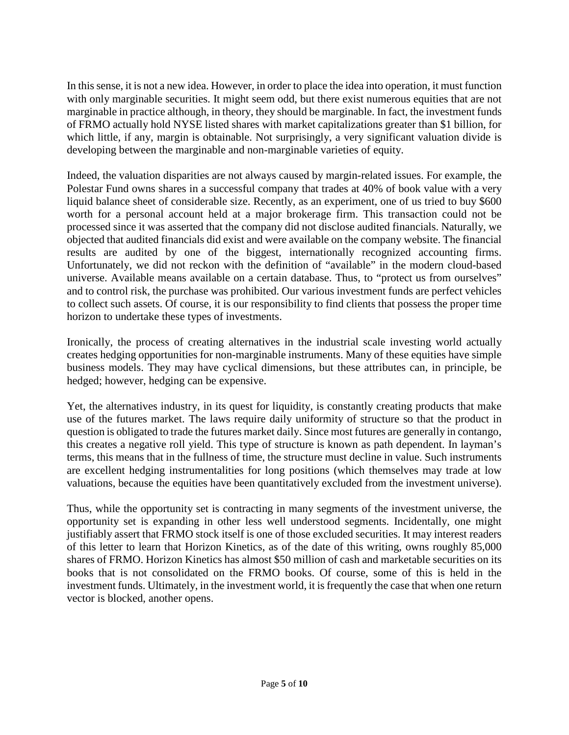In this sense, it is not a new idea. However, in order to place the idea into operation, it must function with only marginable securities. It might seem odd, but there exist numerous equities that are not marginable in practice although, in theory, they should be marginable. In fact, the investment funds of FRMO actually hold NYSE listed shares with market capitalizations greater than \$1 billion, for which little, if any, margin is obtainable. Not surprisingly, a very significant valuation divide is developing between the marginable and non-marginable varieties of equity.

Indeed, the valuation disparities are not always caused by margin-related issues. For example, the Polestar Fund owns shares in a successful company that trades at 40% of book value with a very liquid balance sheet of considerable size. Recently, as an experiment, one of us tried to buy \$600 worth for a personal account held at a major brokerage firm. This transaction could not be processed since it was asserted that the company did not disclose audited financials. Naturally, we objected that audited financials did exist and were available on the company website. The financial results are audited by one of the biggest, internationally recognized accounting firms. Unfortunately, we did not reckon with the definition of "available" in the modern cloud-based universe. Available means available on a certain database. Thus, to "protect us from ourselves" and to control risk, the purchase was prohibited. Our various investment funds are perfect vehicles to collect such assets. Of course, it is our responsibility to find clients that possess the proper time horizon to undertake these types of investments.

Ironically, the process of creating alternatives in the industrial scale investing world actually creates hedging opportunities for non-marginable instruments. Many of these equities have simple business models. They may have cyclical dimensions, but these attributes can, in principle, be hedged; however, hedging can be expensive.

Yet, the alternatives industry, in its quest for liquidity, is constantly creating products that make use of the futures market. The laws require daily uniformity of structure so that the product in question is obligated to trade the futures market daily. Since most futures are generally in contango, this creates a negative roll yield. This type of structure is known as path dependent. In layman's terms, this means that in the fullness of time, the structure must decline in value. Such instruments are excellent hedging instrumentalities for long positions (which themselves may trade at low valuations, because the equities have been quantitatively excluded from the investment universe).

Thus, while the opportunity set is contracting in many segments of the investment universe, the opportunity set is expanding in other less well understood segments. Incidentally, one might justifiably assert that FRMO stock itself is one of those excluded securities. It may interest readers of this letter to learn that Horizon Kinetics, as of the date of this writing, owns roughly 85,000 shares of FRMO. Horizon Kinetics has almost \$50 million of cash and marketable securities on its books that is not consolidated on the FRMO books. Of course, some of this is held in the investment funds. Ultimately, in the investment world, it is frequently the case that when one return vector is blocked, another opens.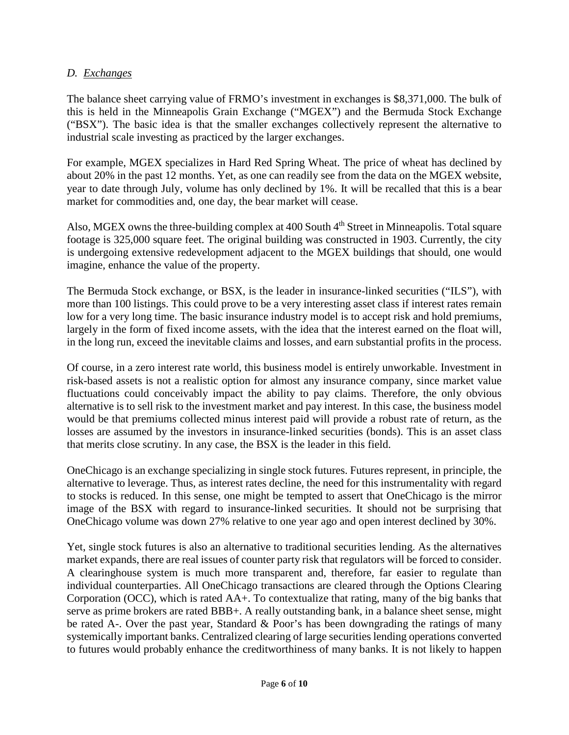### *D. Exchanges*

The balance sheet carrying value of FRMO's investment in exchanges is \$8,371,000. The bulk of this is held in the Minneapolis Grain Exchange ("MGEX") and the Bermuda Stock Exchange ("BSX"). The basic idea is that the smaller exchanges collectively represent the alternative to industrial scale investing as practiced by the larger exchanges.

For example, MGEX specializes in Hard Red Spring Wheat. The price of wheat has declined by about 20% in the past 12 months. Yet, as one can readily see from the data on the MGEX website, year to date through July, volume has only declined by 1%. It will be recalled that this is a bear market for commodities and, one day, the bear market will cease.

Also, MGEX owns the three-building complex at 400 South 4<sup>th</sup> Street in Minneapolis. Total square footage is 325,000 square feet. The original building was constructed in 1903. Currently, the city is undergoing extensive redevelopment adjacent to the MGEX buildings that should, one would imagine, enhance the value of the property.

The Bermuda Stock exchange, or BSX, is the leader in insurance-linked securities ("ILS"), with more than 100 listings. This could prove to be a very interesting asset class if interest rates remain low for a very long time. The basic insurance industry model is to accept risk and hold premiums, largely in the form of fixed income assets, with the idea that the interest earned on the float will, in the long run, exceed the inevitable claims and losses, and earn substantial profits in the process.

Of course, in a zero interest rate world, this business model is entirely unworkable. Investment in risk-based assets is not a realistic option for almost any insurance company, since market value fluctuations could conceivably impact the ability to pay claims. Therefore, the only obvious alternative is to sell risk to the investment market and pay interest. In this case, the business model would be that premiums collected minus interest paid will provide a robust rate of return, as the losses are assumed by the investors in insurance-linked securities (bonds). This is an asset class that merits close scrutiny. In any case, the BSX is the leader in this field.

OneChicago is an exchange specializing in single stock futures. Futures represent, in principle, the alternative to leverage. Thus, as interest rates decline, the need for this instrumentality with regard to stocks is reduced. In this sense, one might be tempted to assert that OneChicago is the mirror image of the BSX with regard to insurance-linked securities. It should not be surprising that OneChicago volume was down 27% relative to one year ago and open interest declined by 30%.

Yet, single stock futures is also an alternative to traditional securities lending. As the alternatives market expands, there are real issues of counter party risk that regulators will be forced to consider. A clearinghouse system is much more transparent and, therefore, far easier to regulate than individual counterparties. All OneChicago transactions are cleared through the Options Clearing Corporation (OCC), which is rated AA+. To contextualize that rating, many of the big banks that serve as prime brokers are rated BBB+. A really outstanding bank, in a balance sheet sense, might be rated A-. Over the past year, Standard & Poor's has been downgrading the ratings of many systemically important banks. Centralized clearing of large securities lending operations converted to futures would probably enhance the creditworthiness of many banks. It is not likely to happen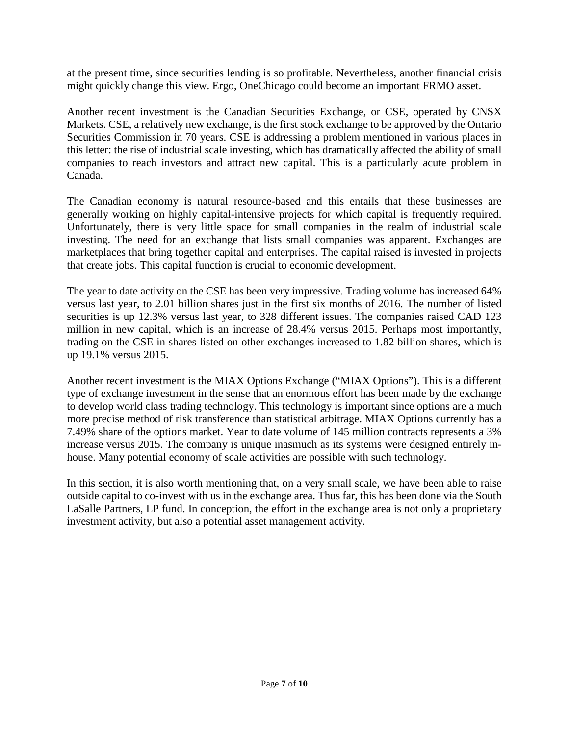at the present time, since securities lending is so profitable. Nevertheless, another financial crisis might quickly change this view. Ergo, OneChicago could become an important FRMO asset.

Another recent investment is the Canadian Securities Exchange, or CSE, operated by CNSX Markets. CSE, a relatively new exchange, is the first stock exchange to be approved by the Ontario Securities Commission in 70 years. CSE is addressing a problem mentioned in various places in this letter: the rise of industrial scale investing, which has dramatically affected the ability of small companies to reach investors and attract new capital. This is a particularly acute problem in Canada.

The Canadian economy is natural resource-based and this entails that these businesses are generally working on highly capital-intensive projects for which capital is frequently required. Unfortunately, there is very little space for small companies in the realm of industrial scale investing. The need for an exchange that lists small companies was apparent. Exchanges are marketplaces that bring together capital and enterprises. The capital raised is invested in projects that create jobs. This capital function is crucial to economic development.

The year to date activity on the CSE has been very impressive. Trading volume has increased 64% versus last year, to 2.01 billion shares just in the first six months of 2016. The number of listed securities is up 12.3% versus last year, to 328 different issues. The companies raised CAD 123 million in new capital, which is an increase of 28.4% versus 2015. Perhaps most importantly, trading on the CSE in shares listed on other exchanges increased to 1.82 billion shares, which is up 19.1% versus 2015.

Another recent investment is the MIAX Options Exchange ("MIAX Options"). This is a different type of exchange investment in the sense that an enormous effort has been made by the exchange to develop world class trading technology. This technology is important since options are a much more precise method of risk transference than statistical arbitrage. MIAX Options currently has a 7.49% share of the options market. Year to date volume of 145 million contracts represents a 3% increase versus 2015. The company is unique inasmuch as its systems were designed entirely inhouse. Many potential economy of scale activities are possible with such technology.

In this section, it is also worth mentioning that, on a very small scale, we have been able to raise outside capital to co-invest with us in the exchange area. Thus far, this has been done via the South LaSalle Partners, LP fund. In conception, the effort in the exchange area is not only a proprietary investment activity, but also a potential asset management activity.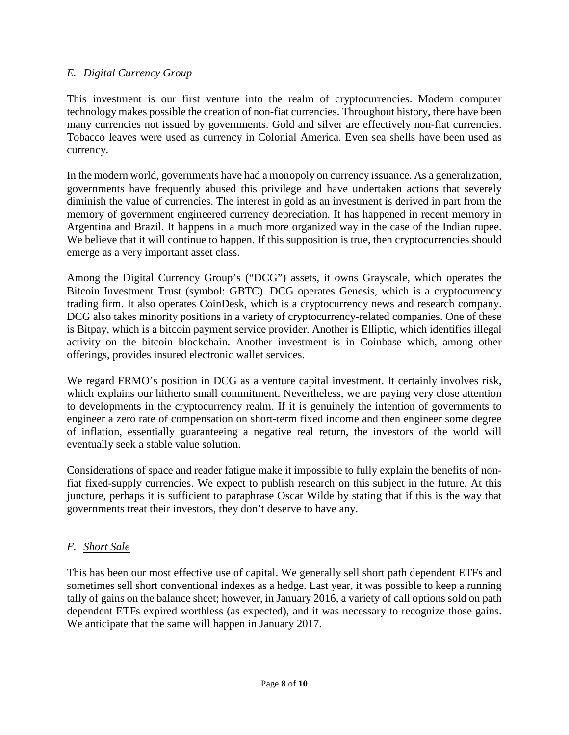### *E. Digital Currency Group*

This investment is our first venture into the realm of cryptocurrencies. Modern computer technology makes possible the creation of non-fiat currencies. Throughout history, there have been many currencies not issued by governments. Gold and silver are effectively non-fiat currencies. Tobacco leaves were used as currency in Colonial America. Even sea shells have been used as currency.

In the modern world, governments have had a monopoly on currency issuance. As a generalization, governments have frequently abused this privilege and have undertaken actions that severely diminish the value of currencies. The interest in gold as an investment is derived in part from the memory of government engineered currency depreciation. It has happened in recent memory in Argentina and Brazil. It happens in a much more organized way in the case of the Indian rupee. We believe that it will continue to happen. If this supposition is true, then cryptocurrencies should emerge as a very important asset class.

Among the Digital Currency Group's ("DCG") assets, it owns Grayscale, which operates the Bitcoin Investment Trust (symbol: GBTC). DCG operates Genesis, which is a cryptocurrency trading firm. It also operates CoinDesk, which is a cryptocurrency news and research company. DCG also takes minority positions in a variety of cryptocurrency-related companies. One of these is Bitpay, which is a bitcoin payment service provider. Another is Elliptic, which identifies illegal activity on the bitcoin blockchain. Another investment is in Coinbase which, among other offerings, provides insured electronic wallet services.

We regard FRMO's position in DCG as a venture capital investment. It certainly involves risk, which explains our hitherto small commitment. Nevertheless, we are paying very close attention to developments in the cryptocurrency realm. If it is genuinely the intention of governments to engineer a zero rate of compensation on short-term fixed income and then engineer some degree of inflation, essentially guaranteeing a negative real return, the investors of the world will eventually seek a stable value solution.

Considerations of space and reader fatigue make it impossible to fully explain the benefits of nonfiat fixed-supply currencies. We expect to publish research on this subject in the future. At this juncture, perhaps it is sufficient to paraphrase Oscar Wilde by stating that if this is the way that governments treat their investors, they don't deserve to have any.

### *F. Short Sale*

This has been our most effective use of capital. We generally sell short path dependent ETFs and sometimes sell short conventional indexes as a hedge. Last year, it was possible to keep a running tally of gains on the balance sheet; however, in January 2016, a variety of call options sold on path dependent ETFs expired worthless (as expected), and it was necessary to recognize those gains. We anticipate that the same will happen in January 2017.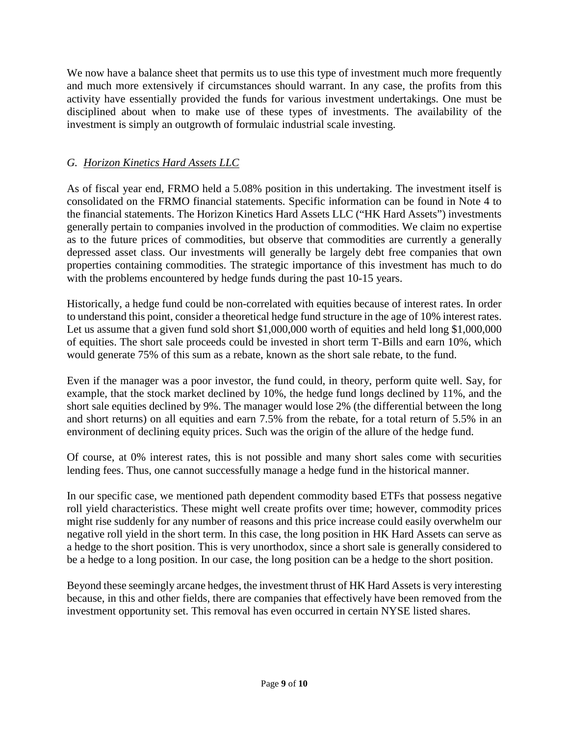We now have a balance sheet that permits us to use this type of investment much more frequently and much more extensively if circumstances should warrant. In any case, the profits from this activity have essentially provided the funds for various investment undertakings. One must be disciplined about when to make use of these types of investments. The availability of the investment is simply an outgrowth of formulaic industrial scale investing.

## *G. Horizon Kinetics Hard Assets LLC*

As of fiscal year end, FRMO held a 5.08% position in this undertaking. The investment itself is consolidated on the FRMO financial statements. Specific information can be found in Note 4 to the financial statements. The Horizon Kinetics Hard Assets LLC ("HK Hard Assets") investments generally pertain to companies involved in the production of commodities. We claim no expertise as to the future prices of commodities, but observe that commodities are currently a generally depressed asset class. Our investments will generally be largely debt free companies that own properties containing commodities. The strategic importance of this investment has much to do with the problems encountered by hedge funds during the past 10-15 years.

Historically, a hedge fund could be non-correlated with equities because of interest rates. In order to understand this point, consider a theoretical hedge fund structure in the age of 10% interest rates. Let us assume that a given fund sold short \$1,000,000 worth of equities and held long \$1,000,000 of equities. The short sale proceeds could be invested in short term T-Bills and earn 10%, which would generate 75% of this sum as a rebate, known as the short sale rebate, to the fund.

Even if the manager was a poor investor, the fund could, in theory, perform quite well. Say, for example, that the stock market declined by 10%, the hedge fund longs declined by 11%, and the short sale equities declined by 9%. The manager would lose 2% (the differential between the long and short returns) on all equities and earn 7.5% from the rebate, for a total return of 5.5% in an environment of declining equity prices. Such was the origin of the allure of the hedge fund.

Of course, at 0% interest rates, this is not possible and many short sales come with securities lending fees. Thus, one cannot successfully manage a hedge fund in the historical manner.

In our specific case, we mentioned path dependent commodity based ETFs that possess negative roll yield characteristics. These might well create profits over time; however, commodity prices might rise suddenly for any number of reasons and this price increase could easily overwhelm our negative roll yield in the short term. In this case, the long position in HK Hard Assets can serve as a hedge to the short position. This is very unorthodox, since a short sale is generally considered to be a hedge to a long position. In our case, the long position can be a hedge to the short position.

Beyond these seemingly arcane hedges, the investment thrust of HK Hard Assets is very interesting because, in this and other fields, there are companies that effectively have been removed from the investment opportunity set. This removal has even occurred in certain NYSE listed shares.